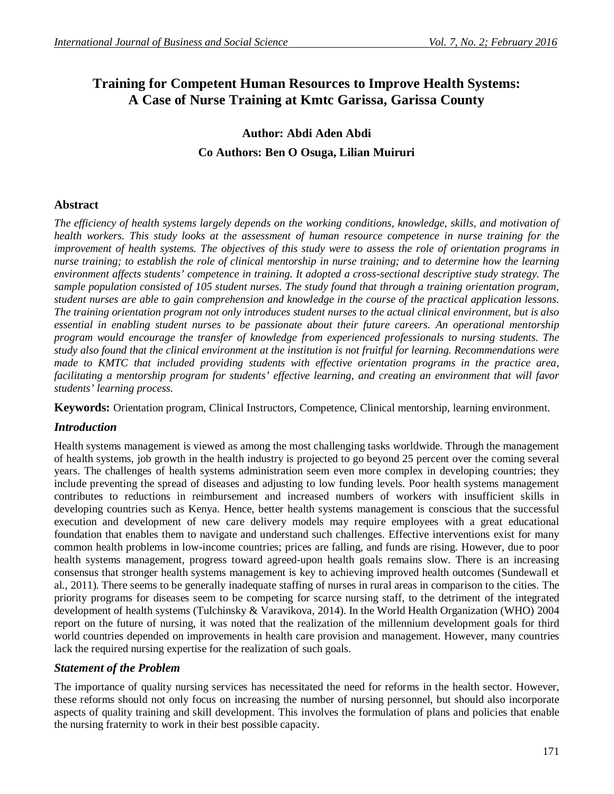# **Training for Competent Human Resources to Improve Health Systems: A Case of Nurse Training at Kmtc Garissa, Garissa County**

# **Author: Abdi Aden Abdi Co Authors: Ben O Osuga, Lilian Muiruri**

# **Abstract**

*The efficiency of health systems largely depends on the working conditions, knowledge, skills, and motivation of health workers. This study looks at the assessment of human resource competence in nurse training for the improvement of health systems. The objectives of this study were to assess the role of orientation programs in nurse training; to establish the role of clinical mentorship in nurse training; and to determine how the learning environment affects students' competence in training. It adopted a cross-sectional descriptive study strategy. The sample population consisted of 105 student nurses. The study found that through a training orientation program, student nurses are able to gain comprehension and knowledge in the course of the practical application lessons. The training orientation program not only introduces student nurses to the actual clinical environment, but is also essential in enabling student nurses to be passionate about their future careers. An operational mentorship program would encourage the transfer of knowledge from experienced professionals to nursing students. The study also found that the clinical environment at the institution is not fruitful for learning. Recommendations were made to KMTC that included providing students with effective orientation programs in the practice area, facilitating a mentorship program for students' effective learning, and creating an environment that will favor students' learning process.*

**Keywords:** Orientation program, Clinical Instructors, Competence, Clinical mentorship, learning environment.

## *Introduction*

Health systems management is viewed as among the most challenging tasks worldwide. Through the management of health systems, job growth in the health industry is projected to go beyond 25 percent over the coming several years. The challenges of health systems administration seem even more complex in developing countries; they include preventing the spread of diseases and adjusting to low funding levels. Poor health systems management contributes to reductions in reimbursement and increased numbers of workers with insufficient skills in developing countries such as Kenya. Hence, better health systems management is conscious that the successful execution and development of new care delivery models may require employees with a great educational foundation that enables them to navigate and understand such challenges. Effective interventions exist for many common health problems in low-income countries; prices are falling, and funds are rising. However, due to poor health systems management, progress toward agreed-upon health goals remains slow. There is an increasing consensus that stronger health systems management is key to achieving improved health outcomes (Sundewall et al., 2011). There seems to be generally inadequate staffing of nurses in rural areas in comparison to the cities. The priority programs for diseases seem to be competing for scarce nursing staff, to the detriment of the integrated development of health systems (Tulchinsky & Varavikova, 2014). In the World Health Organization (WHO) 2004 report on the future of nursing, it was noted that the realization of the millennium development goals for third world countries depended on improvements in health care provision and management. However, many countries lack the required nursing expertise for the realization of such goals.

## *Statement of the Problem*

The importance of quality nursing services has necessitated the need for reforms in the health sector. However, these reforms should not only focus on increasing the number of nursing personnel, but should also incorporate aspects of quality training and skill development. This involves the formulation of plans and policies that enable the nursing fraternity to work in their best possible capacity.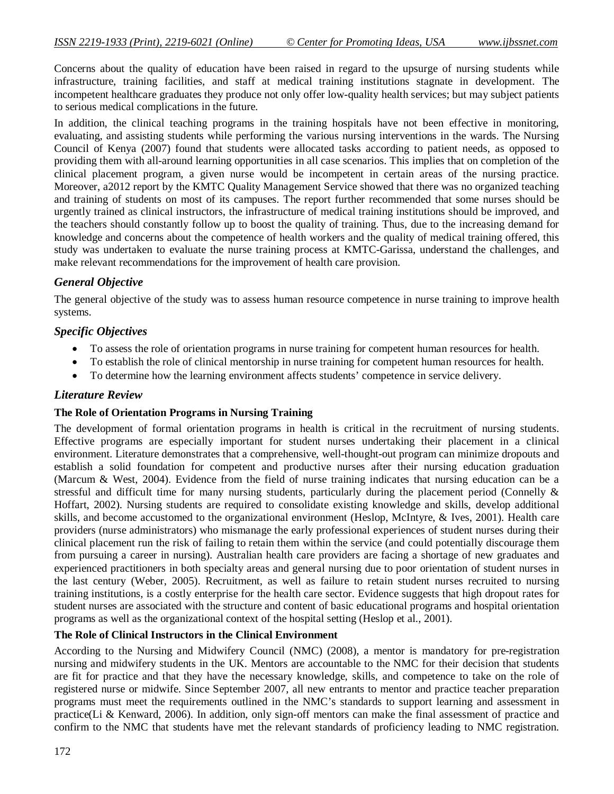Concerns about the quality of education have been raised in regard to the upsurge of nursing students while infrastructure, training facilities, and staff at medical training institutions stagnate in development. The incompetent healthcare graduates they produce not only offer low-quality health services; but may subject patients to serious medical complications in the future.

In addition, the clinical teaching programs in the training hospitals have not been effective in monitoring, evaluating, and assisting students while performing the various nursing interventions in the wards. The Nursing Council of Kenya (2007) found that students were allocated tasks according to patient needs, as opposed to providing them with all-around learning opportunities in all case scenarios. This implies that on completion of the clinical placement program, a given nurse would be incompetent in certain areas of the nursing practice. Moreover, a2012 report by the KMTC Quality Management Service showed that there was no organized teaching and training of students on most of its campuses. The report further recommended that some nurses should be urgently trained as clinical instructors, the infrastructure of medical training institutions should be improved, and the teachers should constantly follow up to boost the quality of training. Thus, due to the increasing demand for knowledge and concerns about the competence of health workers and the quality of medical training offered, this study was undertaken to evaluate the nurse training process at KMTC-Garissa, understand the challenges, and make relevant recommendations for the improvement of health care provision.

# *General Objective*

The general objective of the study was to assess human resource competence in nurse training to improve health systems.

## *Specific Objectives*

- To assess the role of orientation programs in nurse training for competent human resources for health.
- To establish the role of clinical mentorship in nurse training for competent human resources for health.
- To determine how the learning environment affects students' competence in service delivery.

### *Literature Review*

#### **The Role of Orientation Programs in Nursing Training**

The development of formal orientation programs in health is critical in the recruitment of nursing students. Effective programs are especially important for student nurses undertaking their placement in a clinical environment. Literature demonstrates that a comprehensive, well-thought-out program can minimize dropouts and establish a solid foundation for competent and productive nurses after their nursing education graduation (Marcum & West, 2004). Evidence from the field of nurse training indicates that nursing education can be a stressful and difficult time for many nursing students, particularly during the placement period (Connelly & Hoffart, 2002). Nursing students are required to consolidate existing knowledge and skills, develop additional skills, and become accustomed to the organizational environment (Heslop, McIntyre, & Ives, 2001). Health care providers (nurse administrators) who mismanage the early professional experiences of student nurses during their clinical placement run the risk of failing to retain them within the service (and could potentially discourage them from pursuing a career in nursing). Australian health care providers are facing a shortage of new graduates and experienced practitioners in both specialty areas and general nursing due to poor orientation of student nurses in the last century (Weber, 2005). Recruitment, as well as failure to retain student nurses recruited to nursing training institutions, is a costly enterprise for the health care sector. Evidence suggests that high dropout rates for student nurses are associated with the structure and content of basic educational programs and hospital orientation programs as well as the organizational context of the hospital setting (Heslop et al., 2001).

## **The Role of Clinical Instructors in the Clinical Environment**

According to the Nursing and Midwifery Council (NMC) (2008), a mentor is mandatory for pre-registration nursing and midwifery students in the UK. Mentors are accountable to the NMC for their decision that students are fit for practice and that they have the necessary knowledge, skills, and competence to take on the role of registered nurse or midwife. Since September 2007, all new entrants to mentor and practice teacher preparation programs must meet the requirements outlined in the NMC's standards to support learning and assessment in practice(Li & Kenward, 2006). In addition, only sign-off mentors can make the final assessment of practice and confirm to the NMC that students have met the relevant standards of proficiency leading to NMC registration.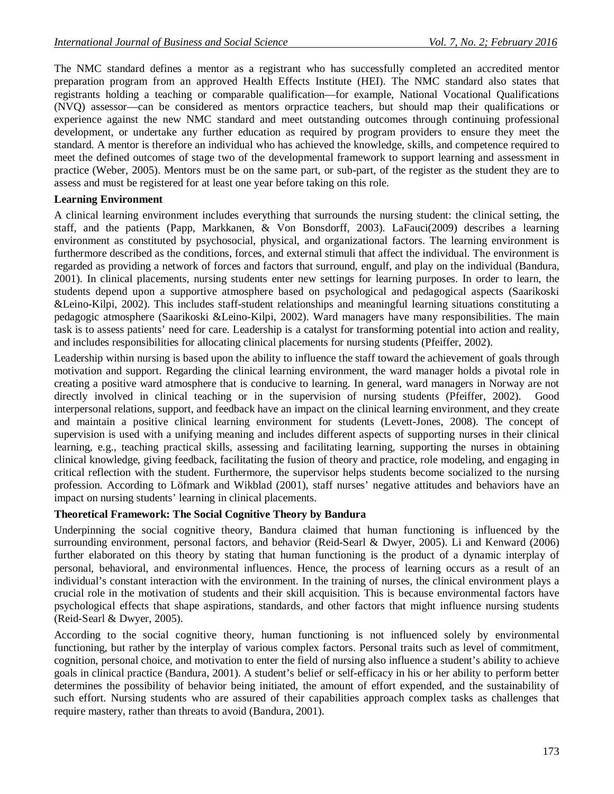The NMC standard defines a mentor as a registrant who has successfully completed an accredited mentor preparation program from an approved Health Effects Institute (HEI). The NMC standard also states that registrants holding a teaching or comparable qualification—for example, National Vocational Qualifications (NVQ) assessor—can be considered as mentors orpractice teachers, but should map their qualifications or experience against the new NMC standard and meet outstanding outcomes through continuing professional development, or undertake any further education as required by program providers to ensure they meet the standard. A mentor is therefore an individual who has achieved the knowledge, skills, and competence required to meet the defined outcomes of stage two of the developmental framework to support learning and assessment in practice (Weber, 2005). Mentors must be on the same part, or sub-part, of the register as the student they are to assess and must be registered for at least one year before taking on this role.

### **Learning Environment**

A clinical learning environment includes everything that surrounds the nursing student: the clinical setting, the staff, and the patients (Papp, Markkanen, & Von Bonsdorff, 2003). LaFauci(2009) describes a learning environment as constituted by psychosocial, physical, and organizational factors. The learning environment is furthermore described as the conditions, forces, and external stimuli that affect the individual. The environment is regarded as providing a network of forces and factors that surround, engulf, and play on the individual (Bandura, 2001). In clinical placements, nursing students enter new settings for learning purposes. In order to learn, the students depend upon a supportive atmosphere based on psychological and pedagogical aspects (Saarikoski &Leino-Kilpi, 2002). This includes staff-student relationships and meaningful learning situations constituting a pedagogic atmosphere (Saarikoski &Leino-Kilpi, 2002). Ward managers have many responsibilities. The main task is to assess patients' need for care. Leadership is a catalyst for transforming potential into action and reality, and includes responsibilities for allocating clinical placements for nursing students (Pfeiffer, 2002).

Leadership within nursing is based upon the ability to influence the staff toward the achievement of goals through motivation and support. Regarding the clinical learning environment, the ward manager holds a pivotal role in creating a positive ward atmosphere that is conducive to learning. In general, ward managers in Norway are not directly involved in clinical teaching or in the supervision of nursing students (Pfeiffer, 2002). Good interpersonal relations, support, and feedback have an impact on the clinical learning environment, and they create and maintain a positive clinical learning environment for students (Levett-Jones, 2008). The concept of supervision is used with a unifying meaning and includes different aspects of supporting nurses in their clinical learning, e.g., teaching practical skills, assessing and facilitating learning, supporting the nurses in obtaining clinical knowledge, giving feedback, facilitating the fusion of theory and practice, role modeling, and engaging in critical reflection with the student. Furthermore, the supervisor helps students become socialized to the nursing profession. According to Löfmark and Wikblad (2001), staff nurses' negative attitudes and behaviors have an impact on nursing students' learning in clinical placements.

#### **Theoretical Framework: The Social Cognitive Theory by Bandura**

Underpinning the social cognitive theory, Bandura claimed that human functioning is influenced by the surrounding environment, personal factors, and behavior (Reid-Searl & Dwyer, 2005). Li and Kenward (2006) further elaborated on this theory by stating that human functioning is the product of a dynamic interplay of personal, behavioral, and environmental influences. Hence, the process of learning occurs as a result of an individual's constant interaction with the environment. In the training of nurses, the clinical environment plays a crucial role in the motivation of students and their skill acquisition. This is because environmental factors have psychological effects that shape aspirations, standards, and other factors that might influence nursing students (Reid-Searl & Dwyer, 2005).

According to the social cognitive theory, human functioning is not influenced solely by environmental functioning, but rather by the interplay of various complex factors. Personal traits such as level of commitment, cognition, personal choice, and motivation to enter the field of nursing also influence a student's ability to achieve goals in clinical practice (Bandura, 2001). A student's belief or self-efficacy in his or her ability to perform better determines the possibility of behavior being initiated, the amount of effort expended, and the sustainability of such effort. Nursing students who are assured of their capabilities approach complex tasks as challenges that require mastery, rather than threats to avoid (Bandura, 2001).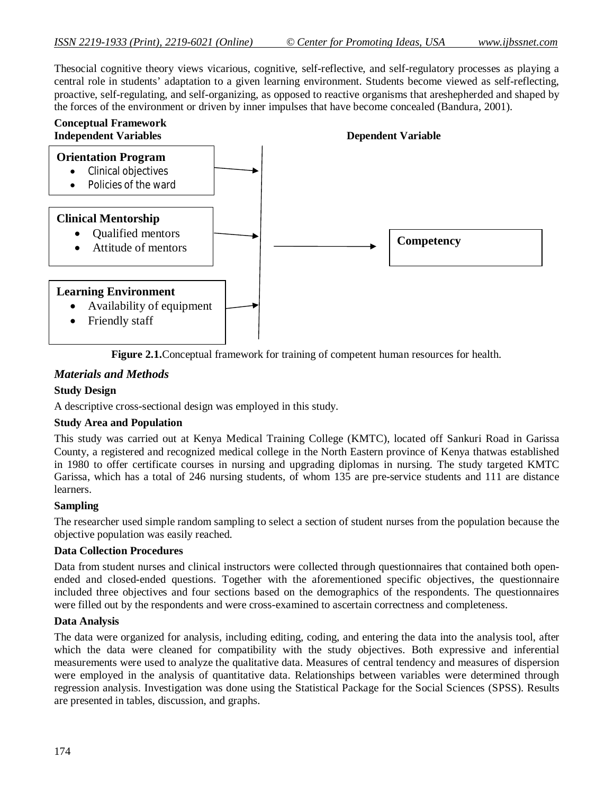Thesocial cognitive theory views vicarious, cognitive, self-reflective, and self-regulatory processes as playing a central role in students' adaptation to a given learning environment. Students become viewed as self-reflecting, proactive, self-regulating, and self-organizing, as opposed to reactive organisms that areshepherded and shaped by the forces of the environment or driven by inner impulses that have become concealed (Bandura, 2001).



**Figure 2.1.**Conceptual framework for training of competent human resources for health.

# *Materials and Methods*

### **Study Design**

A descriptive cross-sectional design was employed in this study.

#### **Study Area and Population**

This study was carried out at Kenya Medical Training College (KMTC), located off Sankuri Road in Garissa County, a registered and recognized medical college in the North Eastern province of Kenya thatwas established in 1980 to offer certificate courses in nursing and upgrading diplomas in nursing. The study targeted KMTC Garissa, which has a total of 246 nursing students, of whom 135 are pre-service students and 111 are distance learners.

#### **Sampling**

The researcher used simple random sampling to select a section of student nurses from the population because the objective population was easily reached.

## **Data Collection Procedures**

Data from student nurses and clinical instructors were collected through questionnaires that contained both openended and closed-ended questions. Together with the aforementioned specific objectives, the questionnaire included three objectives and four sections based on the demographics of the respondents. The questionnaires were filled out by the respondents and were cross-examined to ascertain correctness and completeness.

#### **Data Analysis**

The data were organized for analysis, including editing, coding, and entering the data into the analysis tool, after which the data were cleaned for compatibility with the study objectives. Both expressive and inferential measurements were used to analyze the qualitative data. Measures of central tendency and measures of dispersion were employed in the analysis of quantitative data. Relationships between variables were determined through regression analysis. Investigation was done using the Statistical Package for the Social Sciences (SPSS). Results are presented in tables, discussion, and graphs.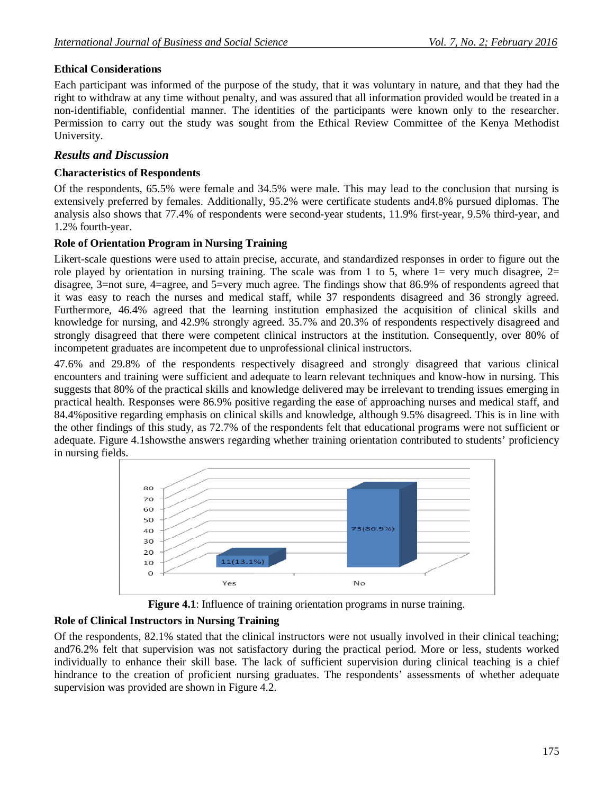## **Ethical Considerations**

Each participant was informed of the purpose of the study, that it was voluntary in nature, and that they had the right to withdraw at any time without penalty, and was assured that all information provided would be treated in a non-identifiable, confidential manner. The identities of the participants were known only to the researcher. Permission to carry out the study was sought from the Ethical Review Committee of the Kenya Methodist University.

## *Results and Discussion*

#### **Characteristics of Respondents**

Of the respondents, 65.5% were female and 34.5% were male. This may lead to the conclusion that nursing is extensively preferred by females. Additionally, 95.2% were certificate students and4.8% pursued diplomas. The analysis also shows that 77.4% of respondents were second-year students, 11.9% first-year, 9.5% third-year, and 1.2% fourth-year.

## **Role of Orientation Program in Nursing Training**

Likert-scale questions were used to attain precise, accurate, and standardized responses in order to figure out the role played by orientation in nursing training. The scale was from 1 to 5, where  $1=$  very much disagree,  $2=$ disagree, 3=not sure, 4=agree, and 5=very much agree. The findings show that 86.9% of respondents agreed that it was easy to reach the nurses and medical staff, while 37 respondents disagreed and 36 strongly agreed. Furthermore, 46.4% agreed that the learning institution emphasized the acquisition of clinical skills and knowledge for nursing, and 42.9% strongly agreed. 35.7% and 20.3% of respondents respectively disagreed and strongly disagreed that there were competent clinical instructors at the institution. Consequently, over 80% of incompetent graduates are incompetent due to unprofessional clinical instructors.

47.6% and 29.8% of the respondents respectively disagreed and strongly disagreed that various clinical encounters and training were sufficient and adequate to learn relevant techniques and know-how in nursing. This suggests that 80% of the practical skills and knowledge delivered may be irrelevant to trending issues emerging in practical health. Responses were 86.9% positive regarding the ease of approaching nurses and medical staff, and 84.4%positive regarding emphasis on clinical skills and knowledge, although 9.5% disagreed. This is in line with the other findings of this study, as 72.7% of the respondents felt that educational programs were not sufficient or adequate. Figure 4.1showsthe answers regarding whether training orientation contributed to students' proficiency in nursing fields.





# **Role of Clinical Instructors in Nursing Training**

Of the respondents, 82.1% stated that the clinical instructors were not usually involved in their clinical teaching; and76.2% felt that supervision was not satisfactory during the practical period. More or less, students worked individually to enhance their skill base. The lack of sufficient supervision during clinical teaching is a chief hindrance to the creation of proficient nursing graduates. The respondents' assessments of whether adequate supervision was provided are shown in Figure 4.2.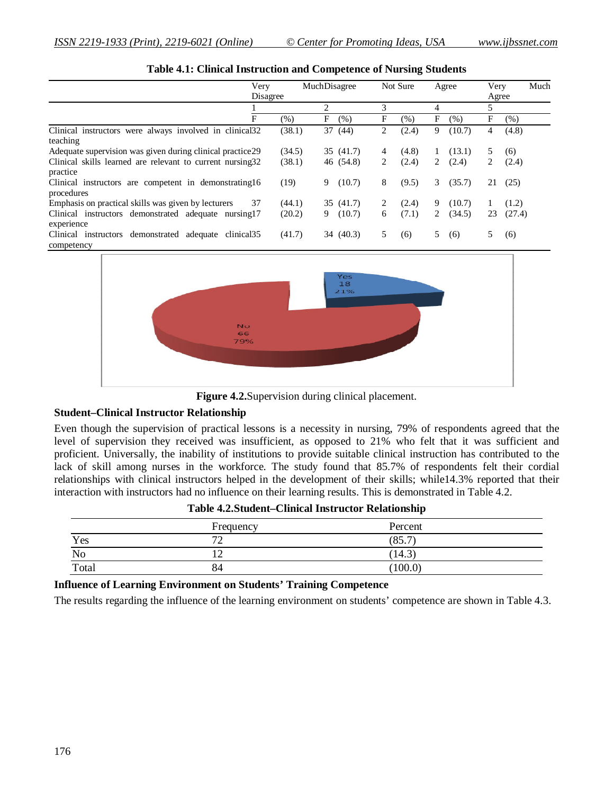| Very<br>Disagree                                           |         | MuchDisagree   |    | Not Sure |   | Agree  |    | Much<br>Very<br>Agree |
|------------------------------------------------------------|---------|----------------|----|----------|---|--------|----|-----------------------|
|                                                            |         | $\mathfrak{D}$ | 3  |          | 4 |        | 5  |                       |
| F                                                          | $(\% )$ | F<br>(% )      | F  | (%)      | F | (% )   | F  | (% )                  |
| Clinical instructors were always involved in clinical32    | (38.1)  | 37 (44)        | 2  | (2.4)    | 9 | (10.7) | 4  | (4.8)                 |
| teaching                                                   |         |                |    |          |   |        |    |                       |
| Adequate supervision was given during clinical practice29  | (34.5)  | 35 (41.7)      | 4  | (4.8)    |   | (13.1) | 5  | (6)                   |
| Clinical skills learned are relevant to current nursing 32 | (38.1)  | 46 (54.8)      | 2  | (2.4)    | 2 | (2.4)  | 2  | (2.4)                 |
| practice                                                   |         |                |    |          |   |        |    |                       |
| Clinical instructors are competent in demonstrating 16     | (19)    | (10.7)<br>9    | 8  | (9.5)    | 3 | (35.7) | 21 | (25)                  |
| procedures                                                 |         |                |    |          |   |        |    |                       |
| Emphasis on practical skills was given by lecturers<br>37  | (44.1)  | 35 (41.7)      | 2  | (2.4)    | 9 | (10.7) |    | (1.2)                 |
| Clinical instructors demonstrated adequate nursing 17      | (20.2)  | (10.7)<br>9    | 6  | (7.1)    | 2 | (34.5) | 23 | (27.4)                |
| experience                                                 |         |                |    |          |   |        |    |                       |
| Clinical instructors demonstrated adequate clinical.35     | (41.7)  | 34 (40.3)      | 5. | (6)      | 5 | (6)    | 5  | (6)                   |
| competency                                                 |         |                |    |          |   |        |    |                       |



Figure 4.2. Supervision during clinical placement.

#### **Student–Clinical Instructor Relationship**

Even though the supervision of practical lessons is a necessity in nursing, 79% of respondents agreed that the level of supervision they received was insufficient, as opposed to 21% who felt that it was sufficient and proficient. Universally, the inability of institutions to provide suitable clinical instruction has contributed to the lack of skill among nurses in the workforce. The study found that 85.7% of respondents felt their cordial relationships with clinical instructors helped in the development of their skills; while14.3% reported that their interaction with instructors had no influence on their learning results. This is demonstrated in Table 4.2.

|       | Frequency          | Percent |  |
|-------|--------------------|---------|--|
| Yes   | $\mathcal{L}$<br>∽ | (85.7)  |  |
| No    | ∸                  | (14.3)  |  |
| Total | 84                 | (100.0) |  |

**Table 4.2.Student–Clinical Instructor Relationship**

#### **Influence of Learning Environment on Students' Training Competence**

The results regarding the influence of the learning environment on students' competence are shown in Table 4.3.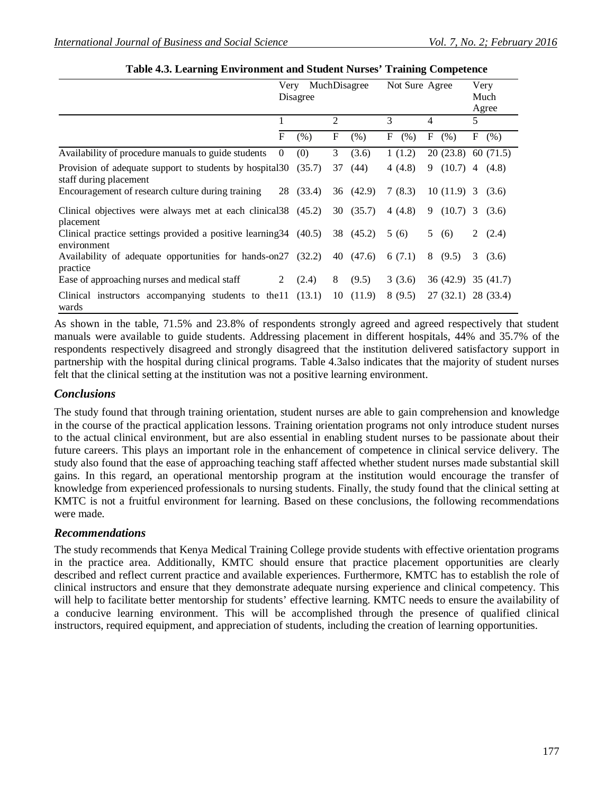|                                                                                    | MuchDisagree<br>Not Sure Agree<br>Very |           |    |           |           |                       |                         |
|------------------------------------------------------------------------------------|----------------------------------------|-----------|----|-----------|-----------|-----------------------|-------------------------|
|                                                                                    |                                        |           |    |           |           |                       | Very                    |
|                                                                                    | Disagree                               |           |    |           | Much      |                       |                         |
|                                                                                    |                                        |           |    |           |           |                       | Agree                   |
|                                                                                    |                                        |           | 2  |           | 3         | $\overline{4}$        | 5                       |
|                                                                                    | F                                      | (% )      | F  | (% )      | F<br>(% ) | F<br>(% )             | $F_{\perp}$<br>(%)      |
| Availability of procedure manuals to guide students                                | $\Omega$                               | (0)       | 3  | (3.6)     | 1(1.2)    | $20(23.8)$ 60 (71.5)  |                         |
| Provision of adequate support to students by hospital 30<br>staff during placement |                                        | (35.7)    | 37 | (44)      | 4 (4.8)   | $(10.7)$ 4<br>9       | (4.8)                   |
| Encouragement of research culture during training                                  |                                        | 28 (33.4) |    | 36(42.9)  | 7(8.3)    | $10(11.9)$ 3          | (3.6)                   |
| Clinical objectives were always met at each clinical 38 (45.2)<br>placement        |                                        |           |    | 30(35.7)  | 4(4.8)    | 9<br>$(10.7)$ 3       | (3.6)                   |
| Clinical practice settings provided a positive learning 34 (40.5)<br>environment   |                                        |           |    | 38 (45.2) | 5(6)      | 5<br>(6)              | 2 $(2.4)$               |
| Availability of adequate opportunities for hands-on27 (32.2)<br>practice           |                                        |           |    | 40 (47.6) | 6(7.1)    | 8(9.5)                | 3 <sup>7</sup><br>(3.6) |
| Ease of approaching nurses and medical staff                                       | 2                                      | (2.4)     | 8  | (9.5)     | 3(3.6)    | $36(42.9)$ $35(41.7)$ |                         |
| Clinical instructors accompanying students to the 11 (13.1)<br>wards               |                                        |           | 10 | (11.9)    | 8(9.5)    | 27(32.1)              | 28 (33.4)               |

| Table 4.3. Learning Environment and Student Nurses' Training Competence |  |
|-------------------------------------------------------------------------|--|
|-------------------------------------------------------------------------|--|

As shown in the table, 71.5% and 23.8% of respondents strongly agreed and agreed respectively that student manuals were available to guide students. Addressing placement in different hospitals, 44% and 35.7% of the respondents respectively disagreed and strongly disagreed that the institution delivered satisfactory support in partnership with the hospital during clinical programs. Table 4.3also indicates that the majority of student nurses felt that the clinical setting at the institution was not a positive learning environment.

# *Conclusions*

The study found that through training orientation, student nurses are able to gain comprehension and knowledge in the course of the practical application lessons. Training orientation programs not only introduce student nurses to the actual clinical environment, but are also essential in enabling student nurses to be passionate about their future careers. This plays an important role in the enhancement of competence in clinical service delivery. The study also found that the ease of approaching teaching staff affected whether student nurses made substantial skill gains. In this regard, an operational mentorship program at the institution would encourage the transfer of knowledge from experienced professionals to nursing students. Finally, the study found that the clinical setting at KMTC is not a fruitful environment for learning. Based on these conclusions, the following recommendations were made.

## *Recommendations*

The study recommends that Kenya Medical Training College provide students with effective orientation programs in the practice area. Additionally, KMTC should ensure that practice placement opportunities are clearly described and reflect current practice and available experiences. Furthermore, KMTC has to establish the role of clinical instructors and ensure that they demonstrate adequate nursing experience and clinical competency. This will help to facilitate better mentorship for students' effective learning. KMTC needs to ensure the availability of a conducive learning environment. This will be accomplished through the presence of qualified clinical instructors, required equipment, and appreciation of students, including the creation of learning opportunities.